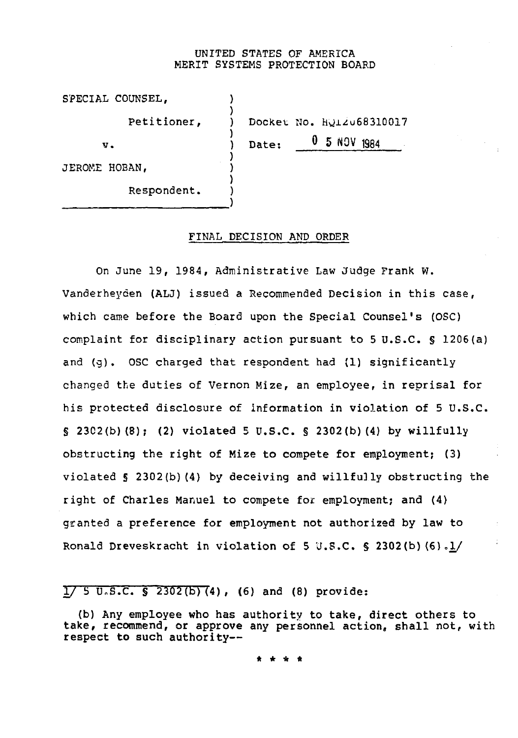### UNITED STATES OF AMERICA MERIT SYSTEMS PROTECTION BOARD

| SPECIAL COUNSEL, |                                            |
|------------------|--------------------------------------------|
| Petitioner,      | Docket No. HQIZU68310017                   |
| $V_{\bullet}$    | $\boldsymbol{0}$<br>5 NOV<br>1984<br>Date: |
| JEROME HOBAN,    |                                            |
| Respondent.      |                                            |

#### FINAL DECISION AND ORDER

On June 19, 1984, Administrative Law Judge Frank W. Vanderheyden (ALJ) issued a Recommended Decision in this case, which came before the Board upon the Special Counsel's (OSC) complaint for disciplinary action pursuant to 5 U.S.C. § 1206(a) and (g). OSC charged that respondent had (1) significantly changed the duties of Vernon Mize, an employee, in reprisal for his protected disclosure of information in violation of 5 U.S.C. § 2302(b)(8); (2) violated 5 U.S.C. § 2302(b)(4) by willfully obstructing the right of Mize to compete for employment; (3) violated § 2302(b)(4) by deceiving and willfully obstructing the right of Charles Manuel to compete for employment; and (4) granted a preference for employment not authorized by law to Ronald Dreveskracht in violation of 5 U.S.C. § 2302(b)  $(6)$ . $1/$ 

 $1/ 5$  U.S.C. § 2302(b)(4), (6) and (8) provide:

(b) Any employee who has authority to take, direct others to take, recommend, or approve any personnel action, shall not, with respect to such authority—

\* \* \* \*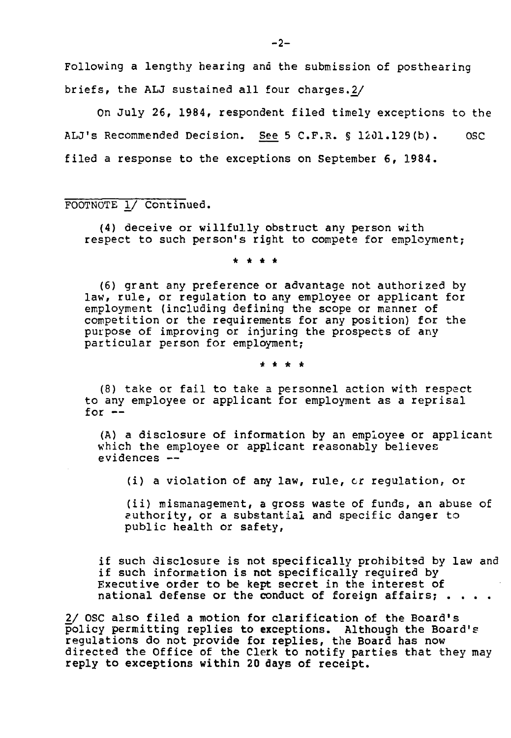Following a lengthy hearing and the submission of posthearing briefs, the ALJ sustained all four charges.2/

On July 26, 1984, respondent filed timely exceptions to the ALJ's Recommended Decision. See 5 C.F.R. § 1201.129(b). OSC filed a response to the exceptions on September 6, 1984.

FOOTNOTE I/ Continued.

(4) deceive or willfully obstruct any person with respect to such person's right to compete for employment;

\* \* \* \*

(6) grant any preference or advantage not authorized by law, rule, or regulation to any employee or applicant for employment (including defining the scope or manner of competition or the requirements for any position) for the purpose of improving or injuring the prospects of any particular person for employment;

\* \* \* \*

(8) take or fail to take a personnel action with respect to any employee or applicant for employment as a reprisal for  $-$ 

(A) a disclosure of information by an employee or applicant which the employee or applicant reasonably believes evidences —

(i) a violation of any law, rule, cr regulation, or

(ii) mismanagement, a gross waste of funds, an abuse of authority, or a substantial and specific danger to public health or safety,

if such disclosure is not specifically prohibited by law and if such information is not specifically required by Executive order to be kept secret in the interest of national defense or the conduct of foreign affairs;  $\ldots$ .

2/ OSC also filed a motion for clarification of the Board's policy permitting replies to exceptions. Although the Board's regulations do not provide for replies, the Board has now directed the Office of the Clerk to notify parties that they may reply to exceptions within 20 days of receipt.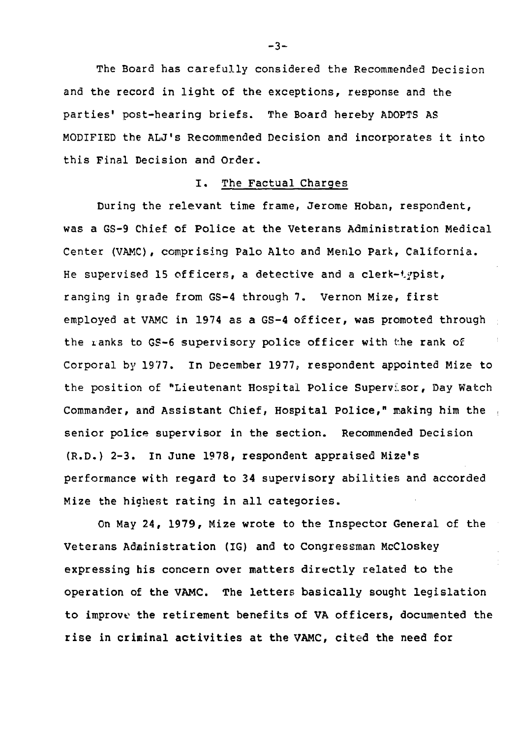The Board has carefully considered the Recommended Decision and the record in light of the exceptions, response and the parties' post-hearing briefs. The Board hereby ADOPTS AS MODIFIED the ALJ's Recommended Decision and incorporates it into this Final Decision and Order.

# I. The Factual Charges

During the relevant time frame, Jerome Hoban, respondent, was a GS-9 Chief of Police at the Veterans Administration Medical Center (VAMC), comprising Palo Alto and Menlo Park, California. He supervised 15 officers, a detective and a clerk-typist, ranging in grade from GS-4 through 7. Vernon Mize, first employed at VAMC in 1974 as a GS-4 officer, was promoted through the ranks to GS-6 supervisory police officer with the rank of Corporal by 1977. In December 1977, respondent appointed Mize to the position of "Lieutenant Hospital Police Supervisor, Day Watch Commander, and Assistant Chief, Hospital Police," making him the senior police supervisor in the section. Recommended Decision (R.D.) 2-3. In June 1978, respondent appraised Mize's performance with regard to 34 supervisory abilities and accorded Mize the highest rating in all categories.

On May 24, 1979, Mize wrote to the Inspector General of the Veterans Administration (IG) and to Congressman McCloskey expressing his concern over matters directly related to the operation of the VAMC. The letters basically sought legislation to improve the retirement benefits of VA officers, documented the rise in criminal activities at the VAMC, cited the need for

 $-3-$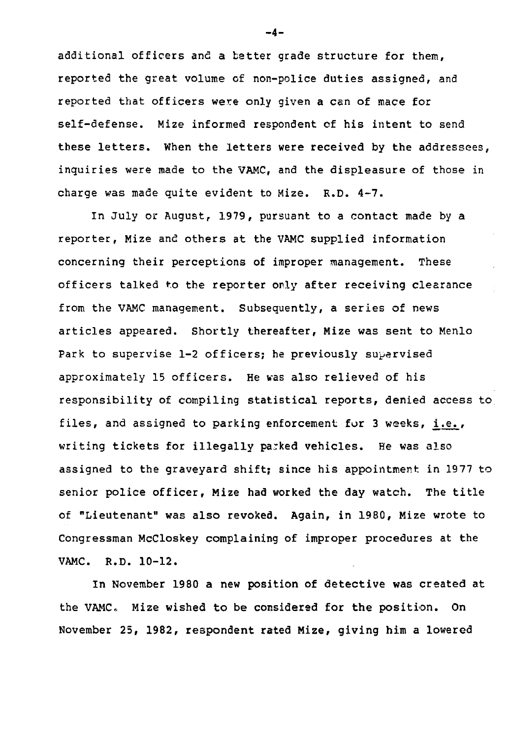additional officers and a batter grade structure for them, reported the great volume of non-police duties assigned, and reported that officers were only given a can of mace for self-defense. Mize informed respondent of his intent to send these letters. When the letters were received by the addressees, inquiries were made to the VAMC, and the displeasure of those in charge was made quite evident to Mize. R.D. 4-7.

In July or August, 1979, pursuant to a contact made by a reporter, Mize and others at the VAMC supplied information concerning their perceptions of improper management. These officers talked to the reporter only after receiving clearance from the VAMC management. Subsequently, a series of news articles appeared. Shortly thereafter, Mize was sent to Menlo Park to supervise 1-2 officers; he previously supervised approximately 15 officers. He was also relieved of his responsibility of compiling statistical reports, denied access to files, and assigned to parking enforcement for 3 weeks, i.e., writing tickets for illegally parked vehicles. He was also assigned to the graveyard shift; since his appointment in 1977 to senior police officer, Mize had worked the day watch. The title of "Lieutenant" was also revoked. Again, in 1980, Mize wrote to Congressman McCloskey complaining of improper procedures at the VAMC. R.D. 10-12.

In November 1980 a new position of detective was created at the VAMC. Mize wished to be considered for the position. On November 25, 1982, respondent rated Mize, giving him a lowered

-4-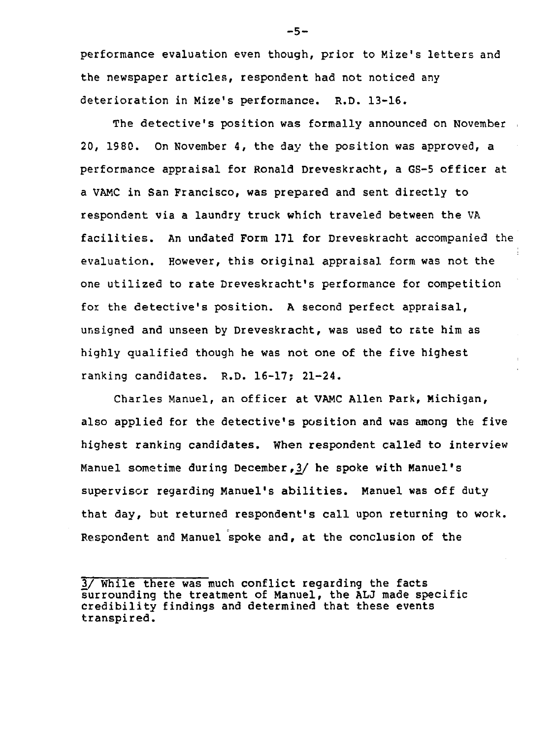performance evaluation even though, prior to Mize's letters and the newspaper articles, respondent had not noticed any deterioration in Mize's performance. R.D. 13-16.

The detective's position was formally announced on November 20, 1980. On November 4, the day the position was approved, a performance appraisal for Ronald Dreveskracht, a GS-5 officer at a VAMC in San Francisco, was prepared and sent directly to respondent via a laundry truck which traveled between the VA facilities. An undated Form 171 for Dreveskracht accompanied the evaluation. However, this original appraisal form was not the one utilized to rate Dreveskracht's performance for competition for the detective's position. A second perfect appraisal, unsigned and unseen by Dreveskracht, was used to rate him as highly qualified though he was not one of the five highest ranking candidates. R.D. 16-17; 21-24.

Charles Manuel, an officer at VAMC Allen Park, Michigan, also applied for the detective's position and was among the five highest ranking candidates, when respondent called to interview Manuel sometime during December, 3/ he spoke with Manuel's supervisor regarding Manuel's abilities. Manuel was off duty that day, but returned respondent's call upon returning to work. Respondent and Manuel spoke and, at the conclusion of the

-5-

<sup>3/</sup> While there was much conflict regarding the facts surrounding the treatment of Manuel, the ALJ made specific credibility findings and determined that these events transpired.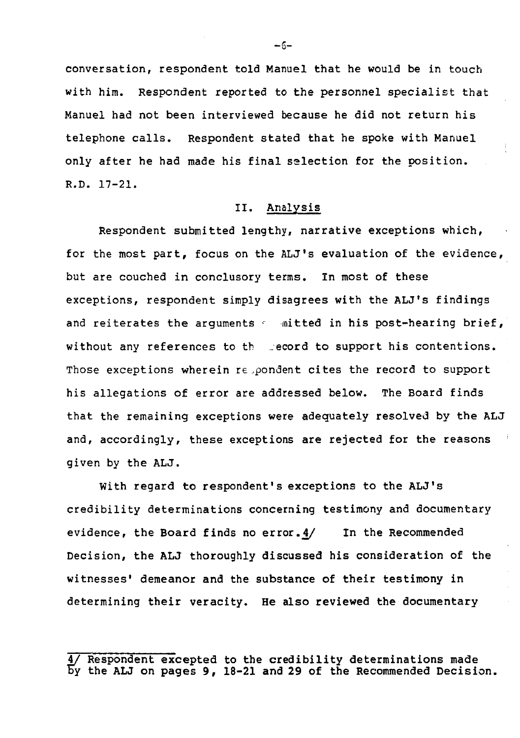conversation, respondent told Manuel that he would be in touch with him. Respondent reported to the personnel specialist that Manuel had not been interviewed because he did not return his telephone calls. Respondent stated that he spoke with Manuel only after he had made his final selection for the position. R.D. 17-21.

### II. Analysis

Respondent submitted lengthy, narrative exceptions which, for the most part, focus on the ALJ's evaluation of the evidence, but are couched in conclusory terms. In most of these exceptions, respondent simply disagrees with the ALJ's findings and reiterates the arguments  $\epsilon$  mitted in his post-hearing brief, without any references to the record to support his contentions. Those exceptions wherein repondent cites the record to support his allegations of error are addressed below. The Board finds that the remaining exceptions were adequately resolved by the ALJ and, accordingly, these exceptions are rejected for the reasons given by the ALJ.

With regard to respondent's exceptions to the ALJ's credibility determinations concerning testimony and documentary evidence, the Board finds no error.  $4/$  In the Recommended Decision, the ALJ thoroughly discussed his consideration of the witnesses' demeanor and the substance of their testimony in determining their veracity. He also reviewed the documentary

 $-5-$ 

<sup>4/</sup> Respondent excepted to the credibility determinations made Fy the ALJ on pages 9, 18-21 and 29 of the Recommended Decision.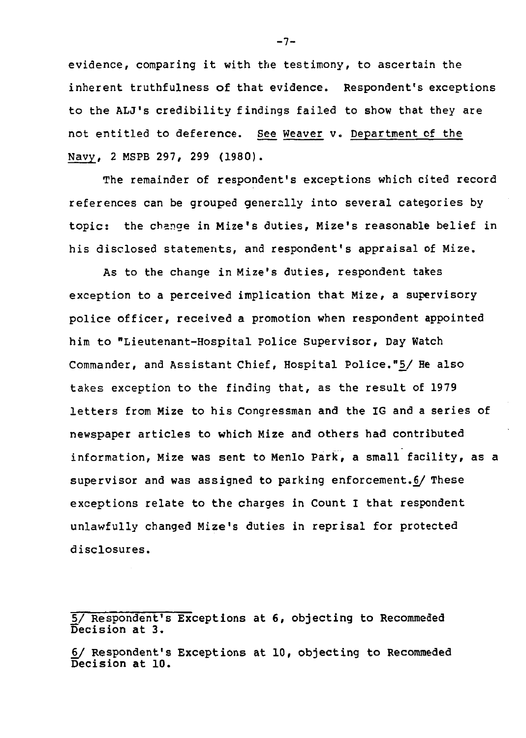evidence, comparing it with the testimony, to ascertain the inherent truthfulness of that evidence. Respondent's exceptions to the ALJ's credibility findings failed to show that they are not entitled to deference. See Weaver v. Department of the Navy, 2 MSPB 297, 299 (1980).

The remainder of respondent's exceptions which cited record references can be grouped generally into several categories by topic: the change in Mize's duties, Mize's reasonable belief in his disclosed statements, and respondent's appraisal of Mize.

As to the change in Mize's duties, respondent takes exception to a perceived implication that Mize, a supervisory police officer, received a promotion when respondent appointed him to "Lieutenant-Hospital Police Supervisor, Day Watch Commander, and Assistant Chief, Hospital Police."5/ He also takes exception to the finding that, as the result of 1979 letters from Mize to his Congressman and the IG and a series of newspaper articles to which Mize and others had contributed information, Mize was sent to Menlo Park, a small facility, as a supervisor and was assigned to parking enforcement.§/ These exceptions relate to the charges in Count I that respondent unlawfully changed Mize's duties in reprisal for protected disclosures.

 $-7-$ 

<sup>5/</sup> Respondent's Exceptions at 6, objecting to Recommeded Decision at 3.

<sup>6/</sup> Respondent's Exceptions at 10, objecting to Recommeded Decision at 10.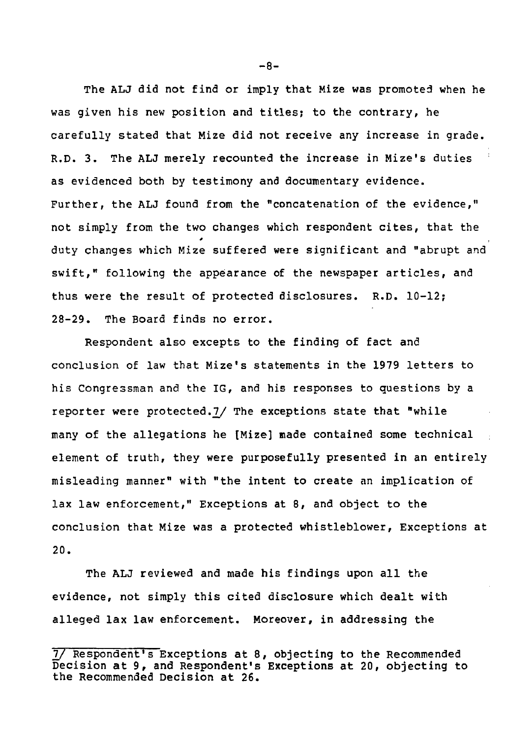The ALJ did not find or imply that Mize was promoted when he was given his new position and titles; to the contrary, he carefully stated that Mize did not receive any increase in grade. R.D. 3. The ALJ merely recounted the increase in Mize's duties : as evidenced both by testimony and documentary evidence. Further, the ALJ found from the "concatenation of the evidence," not simply from the two changes which respondent cites, that the t duty changes which Mize suffered were significant and "abrupt and swift," following the appearance of the newspaper articles, and thus were the result of protected disclosures. R.D. 10-12; 28-29. The Board finds no error.

Respondent also excepts to the finding of fact and conclusion of law that Mize's statements in the 1979 letters to his Congressman and the IG, and his responses to questions by a reporter were protected.7/ The exceptions state that "while many of the allegations he [Mize] made contained some technical element of truth, they were purposefully presented in an entirely misleading manner" with "the intent to create an implication of lax law enforcement," Exceptions at 8, and object to the conclusion that Mize was a protected whistleblower, Exceptions at 20.

The ALJ reviewed and made his findings upon all the evidence, not simply this cited disclosure which dealt with alleged lax law enforcement. Moreover, in addressing the

-8-

<sup>]</sup>\_/ Respondent's Exceptions at 8, objecting to the Recommended Decision at 9, and Respondent's Exceptions at 20, objecting to the Recommended Decision at 26.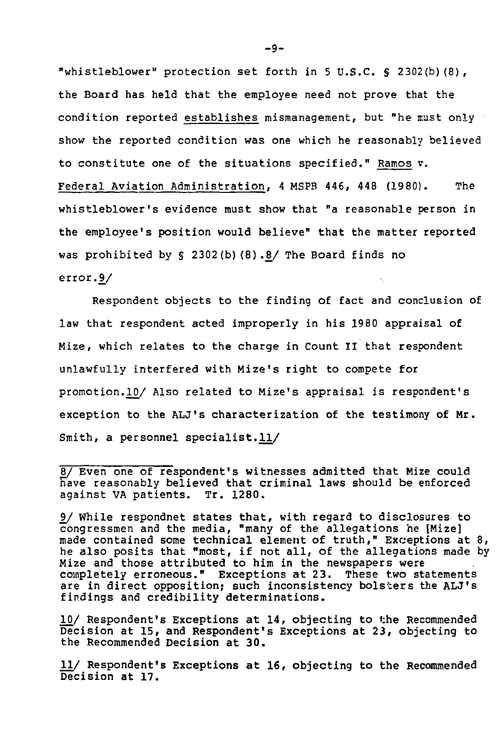"whistleblower" protection set forth in 5 U.S.C. § 2302(b)(8), the Board has held that the employee need not prove that the condition reported establishes mismanagement, but "he must only show the reported condition was one which he reasonably believed to constitute one of the situations specified." Ramos v. Federal Aviation Administration, 4 MSPB 446, 448 (1980). The whistleblower's evidence must show that "a reasonable person in the employee's position would believe" that the matter reported was prohibited by § 2302(b) (8).8/ The Board finds no error.9/

Respondent objects to the finding of fact and conclusion of law that respondent acted improperly in his 1980 appraisal of Mize, which relates to the charge in Count II that respondent unlawfully interfered with Mize's right to compete for promotion.10/ Also related to Mize's appraisal is respondent's exception to the ALJ's characterization of the testimony of Mr. Smith, a personnel specialist.ll/

10/ Respondent's Exceptions at 14, objecting to the Recommended Decision at 15, and Respondent's Exceptions at 23, objecting to the Recommended Decision at 30.

11/ Respondent's Exceptions at 16, objecting to the Recommended Decision at 17.

<sup>8/</sup> Even one of respondent's witnesses admitted that Mize could have reasonably believed that criminal laws should be enforced against VA patients. Tr. 1280.

<sup>9/</sup> While respondnet states that, with regard to disclosures to congressmen and the media, "many of the allegations he [Mize] made contained some technical element of truth," Exceptions at 8, he also posits that "most, if not all, of the allegations made by Mize and those attributed to him in the newspapers were completely erroneous." Exceptions at 23. These two statements are in direct opposition; such inconsistency bolsters the ALJ's findings and credibility determinations.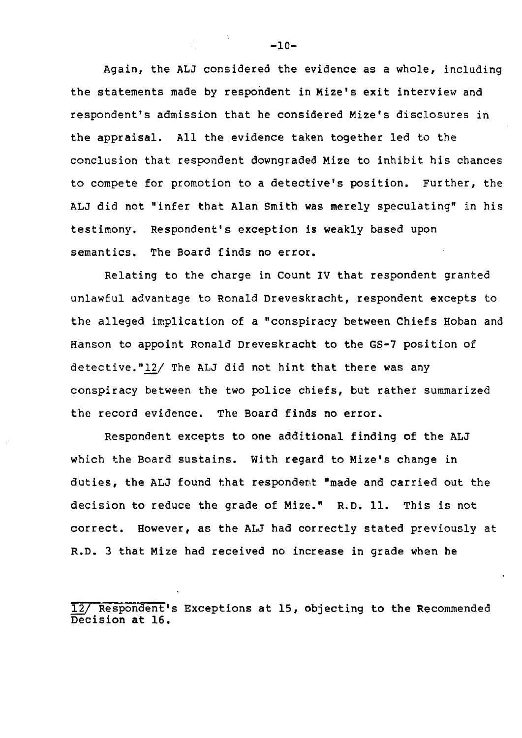Again, the ALJ considered the evidence as a whole, including the statements made by respondent in Mize's exit interview and respondent's admission that he considered Mize's disclosures in the appraisal. All the evidence taken together led to the conclusion that respondent downgraded Mize to inhibit his chances to compete for promotion to a detective's position. Further, the ALJ did not "infer that Alan Smith was merely speculating" in his testimony. Respondent's exception is weakly based upon semantics. The Board finds no error.

Relating to the charge in Count IV that respondent granted unlawful advantage to Ronald Dreveskracht, respondent excepts to the alleged implication of a "conspiracy between Chiefs Hoban and Hanson to appoint Ronald Dreveskracht to the GS-7 position of detective."12/ The ALJ did not hint that there was any conspiracy between the two police chiefs, but rather summarized the record evidence. The Board finds no error.

Respondent excepts to one additional finding of the ALJ which the Board sustains. With regard to Mize's change in duties, the ALJ found that respondent "made and carried out the decision to reduce the grade of Mize." R.D. 11. This is not correct. However, as the ALJ had correctly stated previously at R.D. 3 that Mize had received no increase in grade when he

12/ Respondent's Exceptions at 15, objecting to the Recommended Decision at 16.

 $-10-$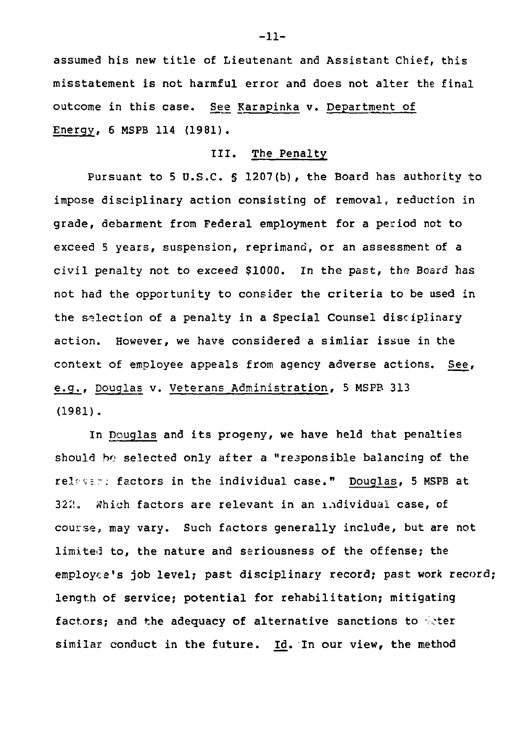assumed his new title of Lieutenant and Assistant Chief, this misstatement is not harmful error and does not alter the final outcome in this case. See Karapinka v. Department of Energy, 6 MSPB 114 (1981).

## III. The Penalty

Pursuant to 5 U.S.C. § 1207 (b), the Board has authority to impose disciplinary action consisting of removal, reduction in grade, debarment from Federal employment for a period not to exceed 5 years, suspension, reprimand, or an assessment of a civil penalty not to exceed \$1000. In the past, the Board has not had the opportunity to consider the criteria to be used in the selection of a penalty in a Special Counsel disciplinary action. However, we have considered a simliar issue in the context of employee appeals from agency adverse actions. See, e.g., Douglas v. Veterans Administration, 5 MSPB 313 (1981).

In Douglas and its progeny, we have held that penalties should ho selected only after a "responsible balancing of the relfvs.r: factors in the individual case." Douglas, 5 MSPB at 322. Which factors are relevant in an individual case, of course, may vary. Such factors generally include, but are not limited to, the nature and seriousness of the offense; the employee's job level; past disciplinary record; past work record; length of service; potential for rehabilitation; mitigating factors; and the adequacy of alternative sanctions to deter similar conduct in the future. Id. In our view, the method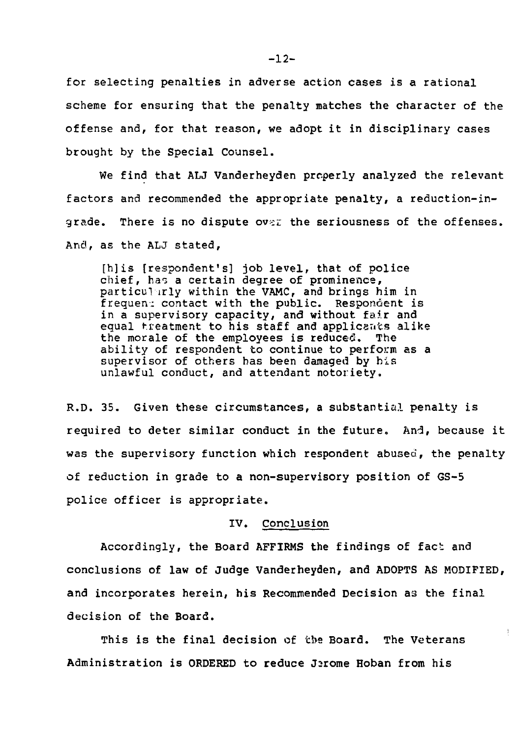for selecting penalties in adverse action cases is a rational scheme for ensuring that the penalty matches the character of the offense and, for that reason, we adopt it in disciplinary cases brought by the Special Counsel.

We find that ALJ Vanderheyden properly analyzed the relevant factors and recommended the appropriate penalty, a reduction-ingrade. There is no dispute over the seriousness of the offenses. And, as the ALJ stated,

[h]is [respondent's] job level, that of police chief, has a certain degree of prominence, particularly within the VAMC, and brings him in frequen: contact with the public. Respondent is in a supervisory capacity, and without fair and equal treatment to his staff and applicants alike the morale of the employees is reduced. The ability of respondent to continue to perform as a supervisor of others has been damaged by his unlawful conduct, and attendant notoriety,.

R.D. 35. Given these circumstances, a substantial penalty is required to deter similar conduct in the future. And, because it was the supervisory function which respondent abused, the penalty of reduction in grade to a non-supervisory position of GS-5 police officer is appropriate.

#### IV. Conclusion

Accordingly, the Board AFFIRMS the findings of fact and conclusions of law of Judge Vanderheyden, and ADOPTS AS MODIFIED, and incorporates herein, his Recommended Decision as the final decision of the Board.

÷

This is the final decision of tbe Board. The Veterans Administration is ORDERED to reduce J2rome Hoban from his

 $-12-$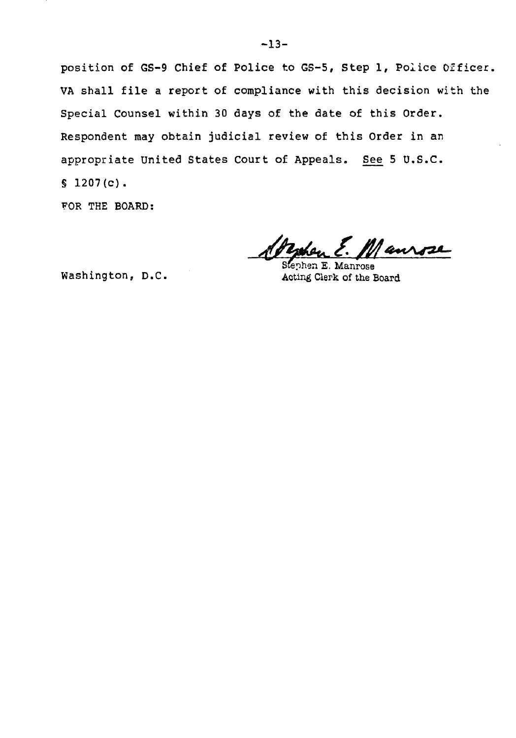position of GS-9 Chief of Police to GS-5, Step 1, Police Officer VA shall file a report of compliance with this decision with the Special Counsel within 30 days of the date of this Order. Respondent may obtain judicial review of this Order in an appropriate United States Court of Appeals. See 5 U.S.C.  $$1207(c).$ 

FOR THE BOARD:

Mansse

phen E. Manrose Washington, D.C. Acting Clerk of the Board